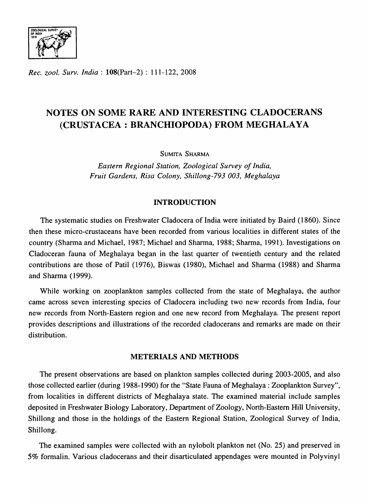

*Rec. zool. Surv. India:* l08(Part-2) : 111-122,2008

# NOTES ON SOME RARE AND INTERESTING CLADOCERANS (CRUSTACEA: BRANCHIOPODA) FROM MEGHALAYA

SUMITA SHARMA

*Eastern Regional Station, Zoological Survey of India, Fruit Gardens, Risa Colony, Shillong-793 003, Meghalaya* 

### INTRODUCTION

The systematic studies on Freshwater Cladocera of India were initiated by Baird (1860). Since then these micro-crustaceans have been recorded from various localities in different states of the country (Sharma and Michael, 1987; Michael and Sharma, 1988; Sharma, 1991). Investigations on Cladoceran fauna of Meghalaya began in the last quarter of twentieth century and the related contributions are those of Patil (1976), Biswas (1980), Michael and Sharma (1988) and Sharma and Sharma (1999).

While working on zooplankton samples collected from the state of Meghalaya, the author came across seven interesting species of Cladocera including two new records from India, four new records from North-Eastern region and one new record from Meghalaya. The present report provides descriptions and illustrations of the recorded cladocerans and remarks are made on their distribution.

### METERIALS AND METHODS

The present observations are based on plankton samples collected during 2003-2005, and also those collected earlier (during 1988-1990) for the "State Fauna of Meghalaya : Zooplankton Survey", from localities in different districts of Meghalaya state. The examined material include samples deposited in Freshwater Biology Laboratory, Department of Zoology, North-Eastern Hill University, Shillong and those in the holdings of the Eastern Regional Station, Zoological Survey of India, Shillong.

The examined samples were collected with an nylobolt plankton net (No. 25) and preserved in 5% formalin. Various cladocerans and their disarticulated appendages were mounted in Polyvinyl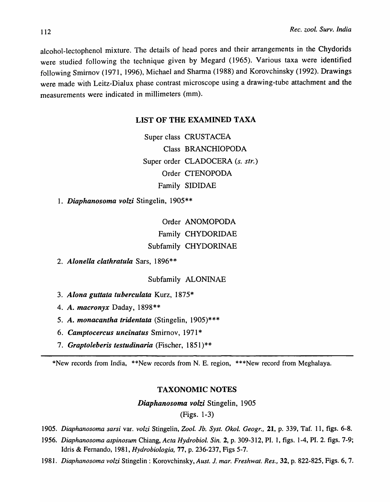alcohol-Iectophenol mixture. The details of head pores and their arrangements in the Chydorids were studied following the technique given by Megard (1965). Various taxa were identified following Smirnov (1971, 1996), Michael and Sharma (1988) and Korovchinsky (1992). Drawings were made with Leitz-Dialux phase contrast microscope using a drawing-tube attachment and the measurements were indicated in millimeters (mm).

### LIST OF THE EXAMINED TAXA

Super class CRUSTACEA Class BRANCHIOPODA Super order CLADOCERA (s. str.) Order CTENOPODA Family SIDIDAE

*1. Diaphanosoma volzi* Stingelin, 1905\*\*

Order ANOMOPODA Family CHYDORIDAE Subfamily CHYDORINAE

*2. Alonella clathratula* Sars, 1896\*\*

### Subfamily ALONINAE

- *3. Alona guttata tubereulata* Kurz, 1875\*
- *4. A. macronyx* Oaday, 1898\*\*
- *5. A. monacantha tridentata* (Stingelin, 1905)\*\*\*
- *6. Camptocercus uneinatus* Smirnov, 1971 \*
- 7. Graptoleberis testudinaria (Fischer, 1851)\*\*

\*New records from India, \*\*New records from N. E. region, \*\*\*New record from Meghalaya.

## TAXONOMIC NOTES

*Diaphanosoma volzi* Stingelin, 1905

(Figs. 1-3)

*1905. Diaphanosoma sarsi* var. *volzi* Stingelin, *Zoo!. Jb. Syst. Okol. Geogr.,* 21, p. 339, Taf. 11, figs. 6-8.

- *1956. Diaphanosoma aspinosum* Chiang, *Acta Hydrobiol. Sin.* 2, p. 309-312, PI. 1, figs. 1-4, PI. 2. figs. 7-9; Idris & Fernando, 1981, *Hydrobiologia,* 77, p. 236-237, Figs 5-7.
- *1981. Diaphanosoma volzi* Stingelin : Korovchinsky, *Aust. J. mar. Freshwat. Res.,* 32, p. 822-825, Figs. 6, 7.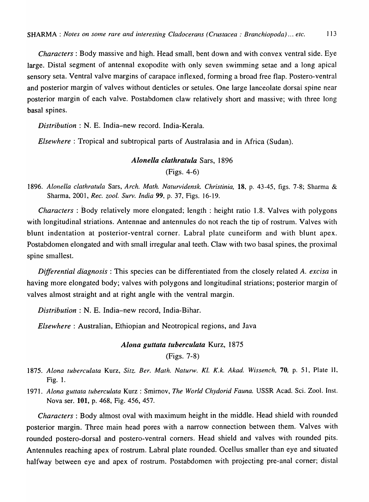*Characters:* Body massive and high. Head small, bent down and with convex ventral side. Eye large. Distal segment of antennal exopodite with only seven swimming setae and a long apical sensory seta. Ventral valve margins of carapace inflexed, forming a broad free flap. Postero-ventral and posterior margin of valves without denticles or setules. One large lanceolate dorsal spine near posterior margin of each valve. Postabdomen claw relatively short and massive; with three long basal spines.

*Distribution:* N. E. India-new record. India-Kerala.

*Elsewhere* : Tropical and subtropical parts of Australasia and in Africa (Sudan).

# *Alonella clathratula* Sars, 1896 (Figs. 4-6)

1896. *Alonella clathratula* Sars, *Arch. Math. Naturvidensk. Christinia,* 18. p. 43-45, figs. 7-8; Sharma & Sharma, 2001, *Rec. zool. Surv. India* 99, p. 37, Figs. 16-19.

*Characters:* Body relatively more elongated; length: height ratio 1.8. Valves with polygons with longitudinal striations. Antennae and antennules do not reach the tip of rostrum. Valves with blunt indentation at posterior-ventral corner. Labral plate cuneiform and with blunt apex. Postabdomen elongated and with small irregular anal teeth. Claw with two basal spines, the proximal spine smallest.

*Differential diagnosis:* This species can be differentiated from the closely related *A. excisa* in having more elongated body; valves with polygons and longitudinal striations; posterior margin of valves almost straight and at right angle with the ventral margin.

*Distribution:* N. E. India-new record, India-Bihar.

*Elsewhere:* Australian, Ethiopian and Neotropical regions, and Java

*Alona guttata tuberculata* Kurz, 1875 (Figs. 7-8)

- 1875. *Alona tuberculata* Kurz, *Sitz. Ber. Math. Naturw. Kl. K.k. Akad. Wissench,* 70, p. 51, Plate II. Fig. 1.
- 1971. *Alona guttata tuberculata* Kurz : Smirnov, *The World Chydorid Fauna.* USSR Acad. Sci. Zool. Inst. Nova ser. 101, p. 468, Fig. 456, 457.

*Characters:* Body almost oval with maximum height in the middle. Head shield with rounded posterior margin. Three main head pores with a narrow connection between them. Valves with rounded postero-dorsal and postero-ventral corners. Head shield and valves with rounded pits. Antennules reaching apex of rostrum. Labral plate rounded. Ocellus smaller than eye and situated halfway between eye and apex of rostrum. Postabdomen with projecting pre-anal corner; distal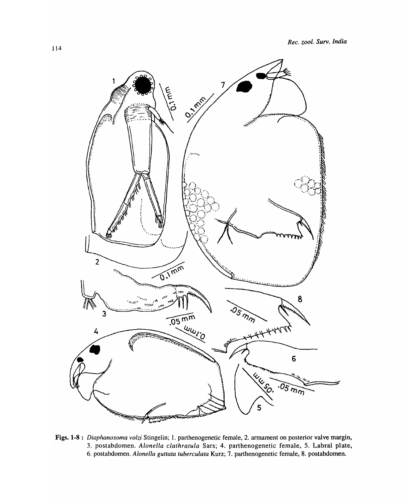

Figs. 1-8: Diaphanosoma volzi Stingelin; 1. parthenogenetic female, 2. armament on posterior valve margin, 3. postabdomen. *Alonella clathratula* Sars; 4. parthenogenetic female, 5. Labral plate, 6. postabdomen. *Alonella guttata tuberculata* Kurz; 7. parthenogenetic female, 8. postabdomen.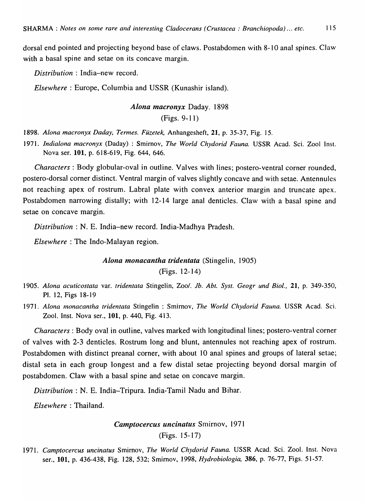dorsal end pointed and projecting beyond base of claws. Postabdomen with 8-10 anal spines. Claw with a basal spine and setae on its concave margin.

*Distribution* : India-new record.

*Elsewhere:* Europe, Columbia and USSR (Kunashir island).

# *Alona macronyx* Daday. 1898 (Figs. 9-11)

*1898. Alona macronyx Daday, Termes. Fuzefek,* Anhangesheft, 21, p. 35-37, Fig. 15.

1971. Indialona macronyx (Daday) : Smirnov, *The World Chydorid Fauna*. USSR Acad. Sci. Zool Inst. Nova ser. **101,** p. 618-619, Fig. 644, 646.

*Characters:* Body globular-oval in outline. Valves with lines; postero-ventral corner rounded, postero-dorsal corner distinct. Ventral margin of valves slightly concave and with setae. Antennules not reaching apex of rostrum. Labral plate with convex anterior margin and truncate apex. Postabdomen narrowing distally; with 12-14 large anal denticles. Claw with a basal spine and setae on concave margin.

*Distribution:* N. E. India-new record. India-Madhya Pradesh.

*Elsewhere:* The Indo-Malayan region.

*Alona monacantha tridentata* (Stingelin, 1905)

 $(Figs. 12-14)$ 

- *1905. Alona acuticostata* var. *tridentata* Stingelin, Zoo/. *Jb. Abt. Syst. Geogr und Bioi.,* 21, p. 349-350, PI. 12, Figs 18-19
- *1971. Alona monacantha tridentata* Stingelin : Smirnov, *The World Chydorid Fauna.* USSR Acad. Sci. Zool. Inst. Nova ser., 101, p. 440, Fig. 413.

*Characters:* Body oval in outline, valves marked with longitudinal lines; postero-ventral corner of valves with 2-3 denticles. Rostrum long and blunt, antennules not reaching apex of rostrum. Postabdomen with distinct preanal corner, with about 10 anal spines and groups of lateral setae; distal seta in each group longest and a few distal setae projecting beyond dorsal margin of postabdomen. Claw with a basal spine and setae on concave margin.

*Distribution:* N. E. India-Tripura. India-Tamil Nadu and Bihar.

*Elsewhere:* Thailand.

*Camptocercus uncinatus* Smirnov, 1971 (Figs. 15-17)

1971. Camptocercus uncinatus Smirnov, *The World Chydorid Fauna*. USSR Acad. Sci. Zool. Inst. Nova ser., 101, p. 436-438, Fig. 128,532; Smirnov, 1998, *Hydrobiologia,* 386, p. 76-77, Figs. 51-57.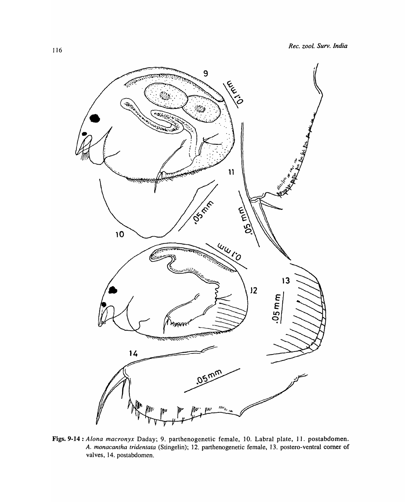

Figs. 9-14 : Alona macronyx Daday; 9. parthenogenetic female, 10. Labral plate, 11. postabdomen. *A. monacantha tridentala* (Stingelin); 12. parthenogenetic female, 13. postero-ventral corner of valves, 14. postabdomen.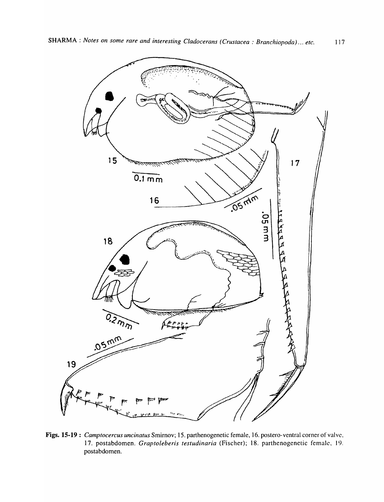

**Figs. 15-19:** *Camptocercus uncinatus* Smirnov; 15. parthenogenetic female, 16. postero-ventral corner of valve, 17. postabdomen. *Graptoleberis testudinaria* (Fischer); 18. parthenogenetic female. 19. postabdomen.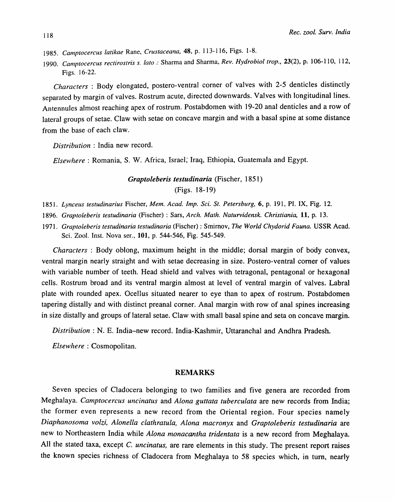- *1985. Camptocercus latikae* Rane, *Crustaceana,* 48, p. 113-116, Figs. 1-8.
- *1990. Camptocercus rectirostris s. lato* " Sharma and Sharma, *Rev. Hydrobiol trop.,* 23(2), p. 106-110, 112, Figs. 16-22.

*Characters* : Body elongated, postero-ventral corner of valves with 2-5 denticles distinctly separated by margin of valves. Rostrum acute, directed downwards. Valves with longitudinal lines. Antennules almost reaching apex of rostrum. Postabdomen with 19-20 anal denticles and a row of lateral groups of setae. Claw with setae on concave margin and with a basal spine at some distance from the base of each claw.

*Distribution* : India new record.

*Elsewhere:* Romania, S. W. Africa, Israel; Iraq, Ethiopia, Guatemala and Egypt.

*Graptoieberis testudinaria* (Fischer, 1851) (Figs. 18-19)

*1851. Lynceus testudinarius* Fischer, *Mem. A cad. Imp. Sci. St. Petersburg,* 6, p. 191, PI. IX, Fig. 12.

- *1896. Graptoleberis testudinaria* (Fischer) : Sars, *Arch. Math. Naturvidensk. Christiania,* 11, p. 13.
- *1971. Graptoleberis testudinaria testudinaria* (Fischer) : Smirnov, *The World Chydorid Fauna.* USSR Acad. Sci. Zool. Inst. Nova ser., 101, p. 544-546, Fig. 545-549.

*Characters* : Body oblong, maximum height in the middle; dorsal margin of body convex, ventral margin nearly straight and with setae decreasing in size. Postero-ventral corner of values with variable number of teeth. Head shield and valves with tetragonal, pentagonal or hexagonal cells. Rostrum broad and its ventral margin almost at level of ventral margin of valves. Labral plate with rounded apex. Ocellus situated nearer to eye than to apex of rostrum. Postabdomen tapering distally and with distinct preanal corner. Anal margin with row of anal spines increasing in size distally and groups of lateral setae. Claw with small basal spine and seta on concave margin.

*Distribution:* N. E. India-new record. India-Kashmir, Uttaranchal and Andhra Pradesh.

*Elsewhere:* Cosmopolitan.

### **REMARKS**

Seven species of Cladocera belonging to two families and five genera are recorded from Meghalaya. *Camptocercus uncinatus* and *Alona guttata tuberculata* are new records from India; the former even represents a new record from the Oriental region. Four species namely *Diaphanosoma volzi, Alonella clathratula, Alona macronyx* and *Graptoleberis testudinaria* are new to Northeastern India while *Alona monacantha tridentata* is a new record from Meghalaya. All the stated taxa, except C. *uncinatus,* are rare elements in this study. The present report raises the known species richness of Cladocera from Meghalaya to 58 species which, in turn, nearly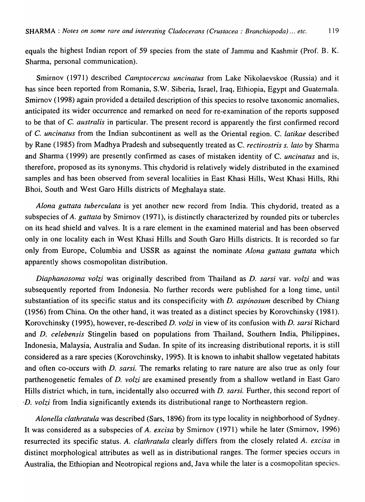equals the highest Indian report of 59 species from the state of Jammu and Kashmir (Prof. B. K. Sharma, personal communication).

Smirnov (1971) described *Camptocercus uncinatus* from Lake Nikolaevskoe (Russia) and it has since been reported from Romania, S.W. Siberia, Israel, Iraq, Ethiopia, Egypt and Guatemala. Smirnov (1998) again provided a detailed description of this species to resolve taxonomic anomalies, anticipated its wider occurrence and remarked on need for re-examination of the reports supposed to be that of C. *australis* in particular. The present record is apparently the first confirmed record of C. *uncinatus* from the Indian subcontinent as well as the Oriental region. C. *latikae* described by Rane (1985) from Madhya Pradesh and subsequently treated as C. *rectirostris s. lato* by Sharma and Sharma (1999) are presently confirmed as cases of mistaken identity of C. *uncinatus* and is, therefore, proposed as its synonyms. This chydorid is relatively widely distributed in the examined samples and has been observed from several localities in East Khasi Hills, West Khasi Hills, Rhi Bhoi, South and West Garo Hills districts of Meghalaya state.

*Alona guttata tuberculata* is yet another new record from India. This chydorid, treated as a subspecies of *A. guttata* by Smirnov (1971), is distinctly characterized by rounded pits or tubercles on its head shield and valves. It is a rare element in the examined material and has been observed only in one locality each in West Khasi Hills and South Garo Hills districts. It is recorded so far only from Europe, Columbia and USSR as against the nominate *Alona guttata guttata* which apparently shows cosmopolitan distribution.

*Diaphanosolna volzi* was originally described from Thailand as D. *sarsi* var. *volzi* and was subsequently reported from Indonesia. No further records were published for a long time, until substantiation of its specific status and its conspecificity with D. *aspinosum* described by Chiang (1956) from China. On the other hand, it was treated as a distinct species by Korovchinsky (1981). Korovchinsky (1995), however, re-described D. *volzi* in view of its confusion with D. *sarsi* Richard and D. *celebensis* Stingelin based on populations from Thailand, Southern India, Philippines, Indonesia, Malaysia, Australia and Sudan. In spite of its increasing distributional reports, it is still considered as a rare species (Korovchinsky, 1995). It is known to inhabit shallow vegetated habitats and often co-occurs with D. *sarsi.* The remarks relating to rare nature are also true as only four parthenogenetic females of D. *volzi* are examined presently from a shallow wetland in East Garo Hills district which, in turn, incidentally also occurred with D. *sarsi.* Further, this second report of *-D. volzi* from India significantly extends its distributional range to Northeastern region.

*Alonella clathratula* was described (Sars, 1896) from its type locality in neighborhood of Sydney. It was considered as a subspecies of *A. excisa* by Smirnov (1971) while he later (Smirnov, 1996) resurrected its specific status. *A. clathratula* clearly differs from the closely related *A. excisa* in distinct morphological attributes as well as in distributional ranges. The former species occurs in Australia, the Ethiopian and Neotropical regions and, Java while the later is a cosmopolitan species.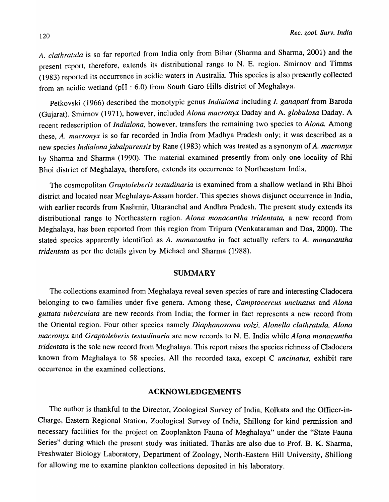*A. clathratula* is so far reported from India only from Bihar (Sharma and Sharma, 2001) and the present report, therefore, extends its distributional range to N. E. region. Smirnov and Timms (1983) reported its occurrence in acidic waters in Australia. This species is also presently collected from an acidic wetland (pH: 6.0) from South Garo Hills district of Meghalaya.

Petkovski (1966) described the monotypic genus *Indialona* including *I. ganapati* from Baroda (Gujarat). Smirnov (1971), however, included *Alona lnacronyx* Daday and A. *globulosa* Daday. A recent redescription of *Indialona,* however, transfers the remaining two species to *Alona.* Among these, *A. Inacronyx* is so far recorded in India from Madhya Pradesh only; it was described as a new species *Indialona jabalpurensis* by Rane (1983) which was treated as a synonym of *A. macronyx*  by Sharma and Sharma (1990). The material examined presently from only one locality of Rhi Bhoi district of Meghalaya, therefore, extends its occurrence to Northeastern India.

The cosmopolitan *Graptoleberis testudinaria* is examined from a shallow wetland in Rhi Bhoi district and located near Meghalaya-Assam border. This species shows disjunct occurrence in India, with earlier records from Kashmir, Uttaranchal and Andhra Pradesh. The present study extends its distributional range to Northeastern region. *Alona monacantha tridentata*, a new record from Meghalaya, has been reported from this region from Tripura (Venkataraman and Das, 2000). The stated species apparently identified as *A. monacantha* in fact actually refers to *A. monacantha tridentata* as per the details given by Michael and Sharma (1988).

### SUMMARY

The coIlections examined from Meghalaya reveal seven species of rare and interesting Cladocera belonging to two families under five genera. Among these, *Camptocercus uncinatus* and *Alona guttata tuberculata* are new records from India; the former in fact represents a new record from the Oriental region. Four other species namely *Diaphanosoma volzi, Alonella cia th ratu la, Alona macronyx* and *Graptoleberis testudinaria* are new records to N. E. India while *Alona monacantha tridentata* is the sole new record from Meghalaya. This report raises the species richness of Cladocera known from Meghalaya to 58 species. All the recorded taxa, except C *uncinatus,* exhibit rare occurrence in the examined coIlections.

#### ACKNOWLEDGEMENTS

The author is thankful to the Director, Zoological Survey of India, Kolkata and the Officer-in-Charge, Eastern Regional Station, Zoological Survey of India, Shillong for kind permission and necessary facilities for the project on Zooplankton Fauna of Meghalaya" under the "State Fauna Series" during which the present study was initiated. Thanks are also due to Prof. B. K. Sharma, Freshwater Biology Laboratory, Department of Zoology, North-Eastern Hill University, Shillong for allowing me to examine plankton collections deposited in his laboratory.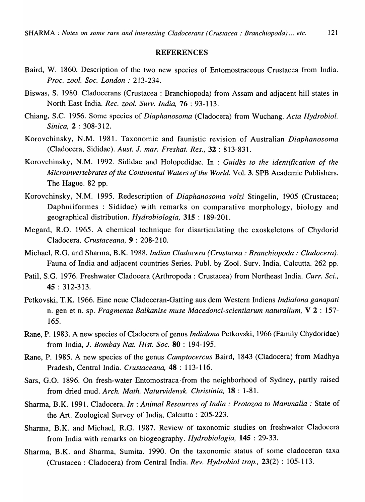#### **REFERENCES**

- Baird, W. 1860. Description of the two new species of Entomostraceous Crustacea from India. *Proc. zool. Soc. London: 213-234.*
- Biswas, S. 1980. Cladocerans (Crustacea: Branchiopoda) from Assam and adjacent hill states in North East India. *Rec. zool. Surv. India,* 76 : 93-113.
- Chiang, S.C. 1956. Some species of *Diaphanosoma* (Cladocera) from Wuchang. *Acta Hydrobiol. Sinica,* 2 : 308-312.
- Korovchinsky, N .M. 1981. Taxonomic and faunistic revision of Australian *Diaphanosoma*  (Cladocera, Sididae). *Aust.* J. *mar. Freshat. Res.,* 32 : 813-831.
- Korovchinsky, N.M. 1992. Sididae and Holopedidae. In : *Guides to the identification of the Microinvertebrates of the Continental Waters of the World.* Vol. 3. SPB Academic Publishers. The Hague. 82 pp.
- Korovchinsky, N.M. 1995. Redescription of *Diaphanosoma volzi* Stingelin, 1905 (Crustacea; Daphniiformes : Sididae) with remarks on comparative morphology, biology and geographical distribution. *Hydrobiologia,* 315 : 189-201.
- Megard, R.O. 1965. A chemical technique for disarticulating the exoskeletons of Chydorid Cladocera. *Crustaceana,* 9 : 208-210.
- Michael, R.G. and Sharma, B.K. 1988. *Indian Cladocera (Crustacea: Branchiopoda: Cladocera).*  Fauna of India and adjacent countries Series. Publ. by Zool. Surv. India, Calcutta. 262 pp.
- Patil, S.G. 1976. Freshwater Cladocera (Arthropoda: Crustacea) from Northeast India. *Curr. Sci.*, 45 : 312-313.
- Petkovski, T.K. 1966. Eine neue Cladoceran-Gatting aus dem Western Indiens *Indialona ganapati*  n. gen et n. sp. *Fragmenta Balkanise muse Macedonci-scientiarum naturalium*, V 2 : 157-165.
- Rane, P. 1983. A new species of Cladocera of genus *Indialona* Petkovski, 1966 (Family Chydoridae) from India, J. *Bombay Nat. Hist. Soc.* 80 : 194-195.
- Rane, P. 1985. A new species of the genus *Camptocercus* Baird, 1843 (Cladocera) from Madhya Pradesh, Central India. *Crustaceana,* 48 : 113-116.
- Sars, G.O. 1896. On fresh-water Entomostraca from the neighborhood of Sydney, partly raised from dried mud. *Arch. Math. Naturvidensk. Christinia,* 18 : 1-81.
- Sharma, B.K. 1991. Cladocera. *In* : *Animal Resources of India: Protozoa to Mammalia:* State of the Art. Zoological Survey of India, Calcutta: 205-223.
- Sharma, B.K. and Michael, R.G. 1987. Review of taxonomic studies on freshwater Cladocera from India with remarks on biogeography. *Hydrobiologia,* 145 : 29-33.
- Sharma, B.K. and Sharma, Sumita. 1990. On the taxonomic status of some cladoceran taxa (Crustacea: Cladocera) from Central India. *Rev. Hydrobiol trop.,* 23(2) : 105-113.